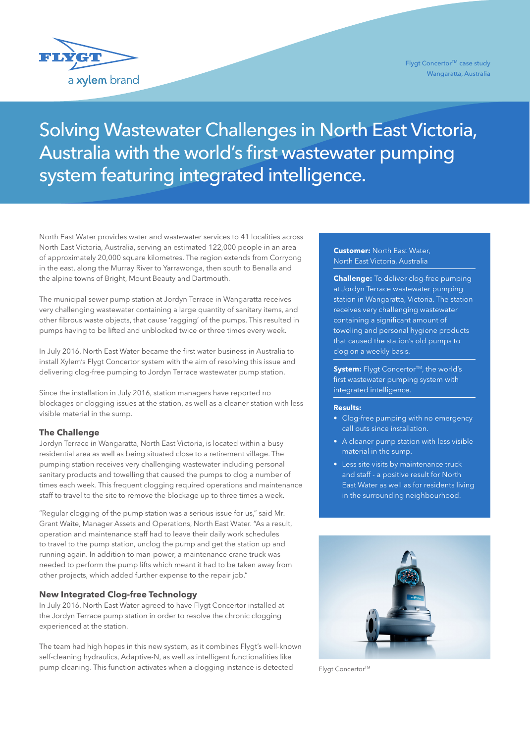

# Solving Wastewater Challenges in North East Victoria, Australia with the world's first wastewater pumping system featuring integrated intelligence.

North East Water provides water and wastewater services to 41 localities across North East Victoria, Australia, serving an estimated 122,000 people in an area of approximately 20,000 square kilometres. The region extends from Corryong in the east, along the Murray River to Yarrawonga, then south to Benalla and the alpine towns of Bright, Mount Beauty and Dartmouth.

The municipal sewer pump station at Jordyn Terrace in Wangaratta receives very challenging wastewater containing a large quantity of sanitary items, and other fibrous waste objects, that cause 'ragging' of the pumps. This resulted in pumps having to be lifted and unblocked twice or three times every week.

In July 2016, North East Water became the first water business in Australia to install Xylem's Flygt Concertor system with the aim of resolving this issue and delivering clog-free pumping to Jordyn Terrace wastewater pump station.

Since the installation in July 2016, station managers have reported no blockages or clogging issues at the station, as well as a cleaner station with less visible material in the sump.

#### **The Challenge**

Jordyn Terrace in Wangaratta, North East Victoria, is located within a busy residential area as well as being situated close to a retirement village. The pumping station receives very challenging wastewater including personal sanitary products and towelling that caused the pumps to clog a number of times each week. This frequent clogging required operations and maintenance staff to travel to the site to remove the blockage up to three times a week.

"Regular clogging of the pump station was a serious issue for us," said Mr. Grant Waite, Manager Assets and Operations, North East Water. "As a result, operation and maintenance staff had to leave their daily work schedules to travel to the pump station, unclog the pump and get the station up and running again. In addition to man-power, a maintenance crane truck was needed to perform the pump lifts which meant it had to be taken away from other projects, which added further expense to the repair job."

## **New Integrated Clog-free Technology**

In July 2016, North East Water agreed to have Flygt Concertor installed at the Jordyn Terrace pump station in order to resolve the chronic clogging experienced at the station.

The team had high hopes in this new system, as it combines Flygt's well-known self-cleaning hydraulics, Adaptive-N, as well as intelligent functionalities like pump cleaning. This function activates when a clogging instance is detected

### **Customer:** North East Water, North East Victoria, Australia

**Challenge:** To deliver clog-free pumping at Jordyn Terrace wastewater pumping station in Wangaratta, Victoria. The station receives very challenging wastewater containing a significant amount of toweling and personal hygiene products that caused the station's old pumps to clog on a weekly basis.

**System:** Flygt Concertor<sup>™</sup>, the world's first wastewater pumping system with integrated intelligence.

#### **Results:**

- Clog-free pumping with no emergency call outs since installation.
- A cleaner pump station with less visible material in the sump.
- Less site visits by maintenance truck and staff - a positive result for North East Water as well as for residents living in the surrounding neighbourhood.



Flygt Concertor<sup>™</sup>